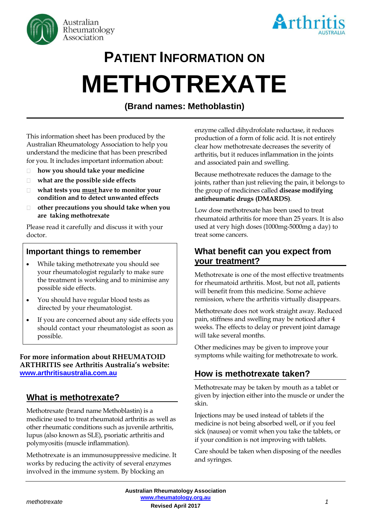



# **PATIENT INFORMATION ON METHOTREXATE**

# **(Brand names: Methoblastin)**

This information sheet has been produced by the Australian Rheumatology Association to help you understand the medicine that has been prescribed for you. It includes important information about:

- **how you should take your medicine**  $\Box$
- **what are the possible side effects**  $\Box$
- $\Box$ **what tests you must have to monitor your condition and to detect unwanted effects**
- $\Box$ **other precautions you should take when you are taking methotrexate**

Please read it carefully and discuss it with your doctor.

#### **Important things to remember**

- While taking methotrexate you should see your rheumatologist regularly to make sure the treatment is working and to minimise any possible side effects.
- You should have regular blood tests as directed by your rheumatologist.
- If you are concerned about any side effects you should contact your rheumatologist as soon as possible.

#### **For more information about RHEUMATOID ARTHRITIS see Arthritis Australia's website: [www.arthritisaustralia.com.au](http://www.arthritisaustralia.com.au/)**

## **What is methotrexate?**

Methotrexate (brand name Methoblastin) is a medicine used to treat rheumatoid arthritis as well as other rheumatic conditions such as juvenile arthritis, lupus (also known as SLE), psoriatic arthritis and polymyositis (muscle inflammation).

Methotrexate is an immunosuppressive medicine. It works by reducing the activity of several enzymes involved in the immune system. By blocking an

enzyme called dihydrofolate reductase, it reduces production of a form of folic acid. It is not entirely clear how methotrexate decreases the severity of arthritis, but it reduces inflammation in the joints and associated pain and swelling.

Because methotrexate reduces the damage to the joints, rather than just relieving the pain, it belongs to the group of medicines called **disease modifying antirheumatic drugs (DMARDS)**.

Low dose methotrexate has been used to treat rheumatoid arthritis for more than 25 years. It is also used at very high doses (1000mg-5000mg a day) to treat some cancers.

## **What benefit can you expect from your treatment?**

Methotrexate is one of the most effective treatments for rheumatoid arthritis. Most, but not all, patients will benefit from this medicine. Some achieve remission, where the arthritis virtually disappears.

Methotrexate does not work straight away. Reduced pain, stiffness and swelling may be noticed after 4 weeks. The effects to delay or prevent joint damage will take several months.

Other medicines may be given to improve your symptoms while waiting for methotrexate to work.

## **How is methotrexate taken?**

Methotrexate may be taken by mouth as a tablet or given by injection either into the muscle or under the skin.

Injections may be used instead of tablets if the medicine is not being absorbed well, or if you feel sick (nausea) or vomit when you take the tablets, or if your condition is not improving with tablets.

Care should be taken when disposing of the needles and syringes.

**Australian Rheumatology Association [www.rheumatology.org.au](http://www.rheumatology.org.au/) Revised April 2017** *methotrexate 1*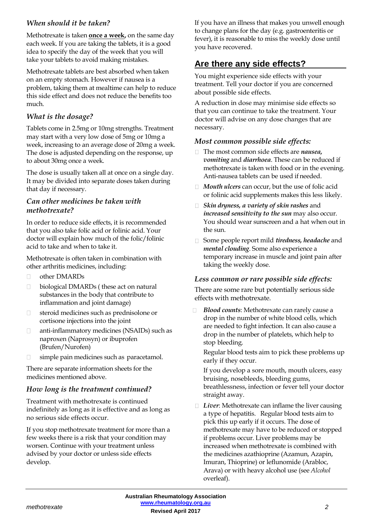## *When should it be taken?*

Methotrexate is taken **once a week,** on the same day each week. If you are taking the tablets, it is a good idea to specify the day of the week that you will take your tablets to avoid making mistakes.

Methotrexate tablets are best absorbed when taken on an empty stomach. However if nausea is a problem, taking them at mealtime can help to reduce this side effect and does not reduce the benefits too much.

#### *What is the dosage?*

Tablets come in 2.5mg or 10mg strengths. Treatment may start with a very low dose of 5mg or 10mg a week, increasing to an average dose of 20mg a week. The dose is adjusted depending on the response, up to about 30mg once a week.

The dose is usually taken all at once on a single day. It may be divided into separate doses taken during that day if necessary.

#### *Can other medicines be taken with methotrexate?*

In order to reduce side effects, it is recommended that you also take folic acid or folinic acid. Your doctor will explain how much of the folic/folinic acid to take and when to take it.

Methotrexate is often taken in combination with other arthritis medicines, including:

- other DMARDs  $\Box$
- biological DMARDs ( these act on natural  $\Box$ substances in the body that contribute to inflammation and joint damage)
- steroid medicines such as prednisolone or  $\Box$ cortisone injections into the joint
- anti-inflammatory medicines (NSAIDs) such as  $\Box$ naproxen (Naprosyn) or ibuprofen (Brufen/Nurofen)
- simple pain medicines such as paracetamol.

There are separate information sheets for the medicines mentioned above.

#### *How long is the treatment continued?*

Treatment with methotrexate is continued indefinitely as long as it is effective and as long as no serious side effects occur.

If you stop methotrexate treatment for more than a few weeks there is a risk that your condition may worsen. Continue with your treatment unless advised by your doctor or unless side effects develop.

If you have an illness that makes you unwell enough to change plans for the day (e.g. gastroenteritis or fever), it is reasonable to miss the weekly dose until you have recovered.

## **Are there any side effects?**

You might experience side effects with your treatment. Tell your doctor if you are concerned about possible side effects.

A reduction in dose may minimise side effects so that you can continue to take the treatment. Your doctor will advise on any dose changes that are necessary.

#### *Most common possible side effects:*

- □ The most common side effects are *nausea*, *vomiting* and *diarrhoea*. These can be reduced if methotrexate is taken with food or in the evening. Anti-nausea tablets can be used ifneeded.
- *Mouth ulcers* can occur, but the use of folic acid or folinic acid supplements makes this less likely.
- *Skin dryness, a variety of skin rashes* and *increased sensitivity to the sun* may also occur. You should wear sunscreen and a hat when out in the sun.
- Some people report mild *tiredness, headache* and *mental clouding*. Some also experience a temporary increase in muscle and joint pain after taking the weekly dose.

#### *Less common or rare possible side effects:*

There are some rare but potentially serious side effects with methotrexate.

*Blood counts*: Methotrexate can rarely cause a drop in the number of white blood cells, which are needed to fight infection. It can also cause a drop in the number of platelets, which help to stop bleeding.

Regular blood tests aim to pick these problems up early if they occur.

If you develop a sore mouth, mouth ulcers, easy bruising, nosebleeds, bleeding gums, breathlessness, infection or fever tell your doctor straight away.

□ *Liver*: Methotrexate can inflame the liver causing a type of hepatitis. Regular blood tests aim to pick this up early if it occurs. The dose of methotrexate may have to be reduced or stopped if problems occur. Liver problems may be increased when methotrexate is combined with the medicines azathioprine (Azamun, Azapin, Imuran, Thioprine) or leflunomide (Arabloc, Arava) or with heavy alcohol use (see *Alcohol*  overleaf).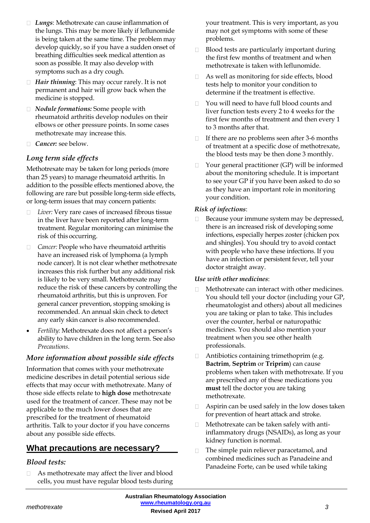- *Lungs*: Methotrexate can cause inflammation of the lungs. This may be more likely if leflunomide is being taken at the same time. The problem may develop quickly, so if you have a sudden onset of breathing difficulties seek medical attention as soon as possible. It may also develop with symptoms such as a dry cough.
- *Hair thinning*: This may occur rarely. It is not  $\Box$ permanent and hair will grow back when the medicine is stopped.
- *Nodule formations:* Some people with rheumatoid arthritis develop nodules on their elbows or other pressure points. In some cases methotrexate may increase this.
- *Cancer:* see below.

#### *Long term side effects*

Methotrexate may be taken for long periods (more than 25 years) to manage rheumatoid arthritis. In addition to the possible effects mentioned above, the following are rare but possible long-term side effects, or long-term issues that may concern patients:

- *Liver:* Very rare cases of increased fibrous tissue in the liver have been reported after long-term treatment. Regular monitoring can minimise the risk of this occurring.
- *Cancer:* People who have rheumatoid arthritis have an increased risk of lymphoma (a lymph node cancer). It is not clear whether methotrexate increases this risk further but any additional risk is likely to be very small. Methotrexate may reduce the risk of these cancers by controlling the rheumatoid arthritis, but this is unproven. For general cancer prevention, stopping smoking is recommended. An annual skin check to detect any early skin cancer is also recommended.
- *Fertility:* Methotrexate does not affect a person's ability to have children in the long term. See also *Precautions*.

#### *More information about possible side effects*

Information that comes with your methotrexate medicine describes in detail potential serious side effects that may occur with methotrexate. Many of those side effects relate to **high dose** methotrexate used for the treatment of cancer. These may not be applicable to the much lower doses that are prescribed for the treatment of rheumatoid arthritis. Talk to your doctor if you have concerns about any possible side effects.

## **What precautions are necessary?**

#### *Blood tests:*

As methotrexate may affect the liver and blood  $\Box$ cells, you must have regular blood tests during your treatment. This is very important, as you may not get symptoms with some of these problems.

- $\Box$ Blood tests are particularly important during the first few months of treatment and when methotrexate is taken with leflunomide.
- $\Box$ As well as monitoring for side effects, blood tests help to monitor your condition to determine if the treatment is effective.
- $\Box$ You will need to have full blood counts and liver function tests every 2 to 4 weeks for the first few months of treatment and then every 1 to 3 months after that.
- $\Box$ If there are no problems seen after 3-6 months of treatment at a specific dose of methotrexate, the blood tests may be then done 3 monthly.
- Your general practitioner (GP) will be informed  $\Box$ about the monitoring schedule. It is important to see your GP if you have been asked to do so as they have an important role in monitoring your condition.

#### *Risk of infections*:

Because your immune system may be depressed,  $\Box$ there is an increased risk of developing some infections, especially herpes zoster (chicken pox and shingles). You should try to avoid contact with people who have these infections. If you have an infection or persistent fever, tell your doctor straight away.

#### *Use with other medicines*:

- Methotrexate can interact with other medicines.  $\Box$ You should tell your doctor (including your GP, rheumatologist and others) about all medicines you are taking or plan to take. This includes over the counter, herbal or naturopathic medicines. You should also mention your treatment when you see other health professionals.
- $\Box$ Antibiotics containing trimethoprim (e.g. **Bactrim**, **Septrim** or **Triprim**) can cause problems when taken with methotrexate. If you are prescribed any of these medications you **must** tell the doctor you are taking methotrexate.
- Aspirin can be used safely in the low doses taken  $\Box$ for prevention of heart attack and stroke.
- Methotrexate can be taken safely with anti- $\Box$ inflammatory drugs (NSAIDs), as long as your kidney function is normal.
- $\Box$ The simple pain reliever paracetamol, and combined medicines such as Panadeine and Panadeine Forte, can be used while taking